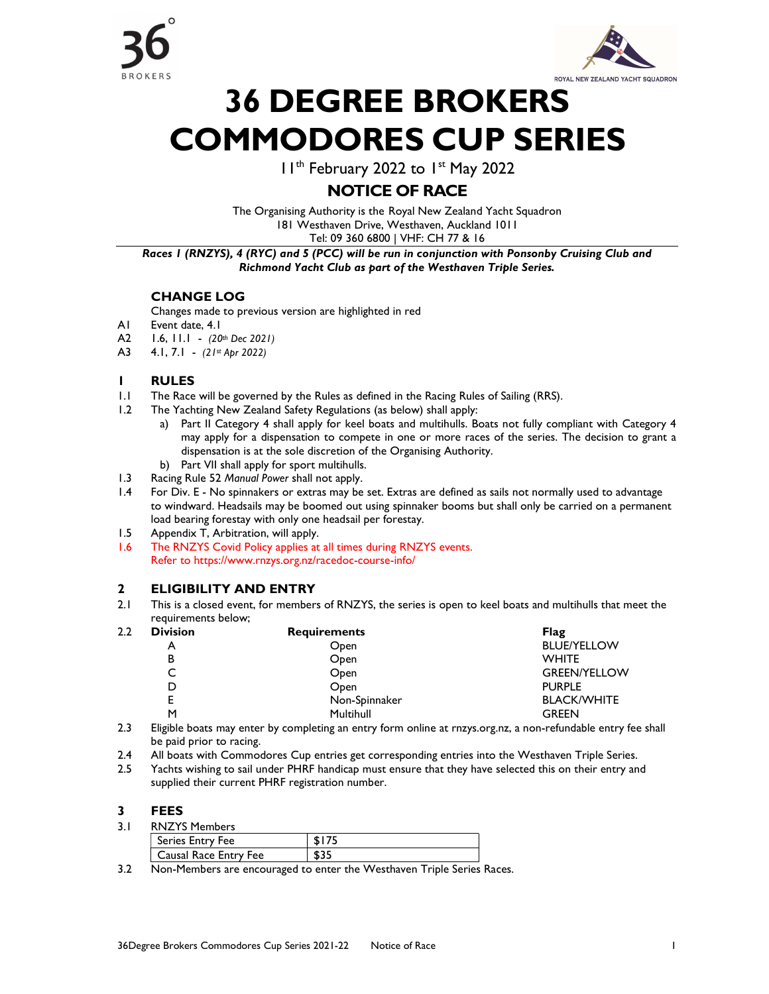



# 36 DEGREE BROKERS COMMODORES CUP SERIES

11th February 2022 to 1st May 2022

# NOTICE OF RACE

The Organising Authority is the Royal New Zealand Yacht Squadron 181 Westhaven Drive, Westhaven, Auckland 1011 Tel: 09 360 6800 | VHF: CH 77 & 16

Races 1 (RNZYS), 4 (RYC) and 5 (PCC) will be run in conjunction with Ponsonby Cruising Club and Richmond Yacht Club as part of the Westhaven Triple Series.

# CHANGE LOG

Changes made to previous version are highlighted in red

- A1 Event date, 4.1
- A2 1.6, 11.1 (20th Dec 2021)
- A3 4.1, 7.1 (21st Apr 2022)

#### 1 RULES

- 1.1 The Race will be governed by the Rules as defined in the Racing Rules of Sailing (RRS).
- 1.2 The Yachting New Zealand Safety Regulations (as below) shall apply:
	- a) Part II Category 4 shall apply for keel boats and multihulls. Boats not fully compliant with Category 4 may apply for a dispensation to compete in one or more races of the series. The decision to grant a dispensation is at the sole discretion of the Organising Authority.
	- b) Part VII shall apply for sport multihulls.
- 1.3 Racing Rule 52 Manual Power shall not apply.

1.4 For Div. E - No spinnakers or extras may be set. Extras are defined as sails not normally used to advantage to windward. Headsails may be boomed out using spinnaker booms but shall only be carried on a permanent load bearing forestay with only one headsail per forestay.

1.5 Appendix T, Arbitration, will apply.

1.6 The RNZYS Covid Policy applies at all times during RNZYS events. Refer to https://www.rnzys.org.nz/racedoc-course-info/

## 2 ELIGIBILITY AND ENTRY

2.1 This is a closed event, for members of RNZYS, the series is open to keel boats and multihulls that meet the requirements below;

| 2.2 | <b>Division</b> | <b>Requirements</b> | Flag                |
|-----|-----------------|---------------------|---------------------|
|     | A               | Open                | <b>BLUE/YELLOW</b>  |
|     | в               | Open                | <b>WHITE</b>        |
|     |                 | Open                | <b>GREEN/YELLOW</b> |
|     |                 | Open                | <b>PURPLE</b>       |
|     |                 | Non-Spinnaker       | <b>BLACK/WHITE</b>  |
|     | M               | Multihull           | <b>GREEN</b>        |
| . . |                 |                     |                     |

- 2.3 Eligible boats may enter by completing an entry form online at rnzys.org.nz, a non-refundable entry fee shall be paid prior to racing.
- 2.4 All boats with Commodores Cup entries get corresponding entries into the Westhaven Triple Series.
- 2.5 Yachts wishing to sail under PHRF handicap must ensure that they have selected this on their entry and supplied their current PHRF registration number.

#### 3 FEES

| <b>RNZYS Members</b>  |      |  |  |  |  |
|-----------------------|------|--|--|--|--|
| Series Entry Fee      |      |  |  |  |  |
| Causal Race Entry Fee | \$35 |  |  |  |  |

3.2 Non-Members are encouraged to enter the Westhaven Triple Series Races.